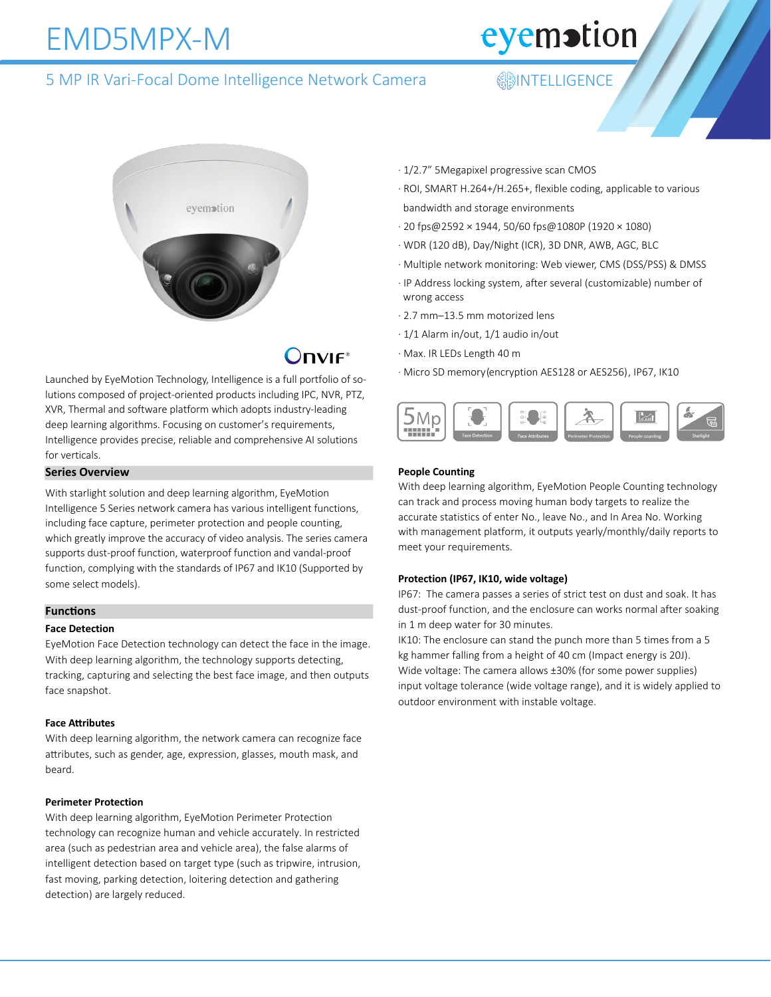## EMD5MPX-M

eyemotion

### 5 MP IR Vari-Focal Dome Intelligence Network Camera **Integrat Adducts** SMP IR Vari-Focal Dome Intelligence



## $OnVIF<sup>*</sup>$

Launched by EyeMotion Technology, Intelligence is a full portfolio of solutions composed of project-oriented products including IPC, NVR, PTZ, XVR, Thermal and software platform which adopts industry-leading deep learning algorithms. Focusing on customer's requirements, Intelligence provides precise, reliable and comprehensive AI solutions for verticals.

#### **Series Overview**

With starlight solution and deep learning algorithm, EyeMotion Intelligence 5 Series network camera has various intelligent functions, including face capture, perimeter protection and people counting, which greatly improve the accuracy of video analysis. The series camera supports dust-proof function, waterproof function and vandal-proof function, complying with the standards of IP67 and IK10 (Supported by some select models).

#### **Functions**

#### **Face Detection**

EyeMotion Face Detection technology can detect the face in the image. With deep learning algorithm, the technology supports detecting, tracking, capturing and selecting the best face image, and then outputs face snapshot.

#### **Face Attributes**

With deep learning algorithm, the network camera can recognize face attributes, such as gender, age, expression, glasses, mouth mask, and beard.

#### **Perimeter Protection**

With deep learning algorithm, EyeMotion Perimeter Protection technology can recognize human and vehicle accurately. In restricted area (such as pedestrian area and vehicle area), the false alarms of intelligent detection based on target type (such as tripwire, intrusion, fast moving, parking detection, loitering detection and gathering detection) are largely reduced.

- · 1/2.7" 5Megapixel progressive scan CMOS
- · ROI, SMART H.264+/H.265+, flexible coding, applicable to various bandwidth and storage environments
- · 20 fps@2592 × 1944, 50/60 fps@1080P (1920 × 1080)
- · WDR (120 dB), Day/Night (ICR), 3D DNR, AWB, AGC, BLC
- · Multiple network monitoring: Web viewer, CMS (DSS/PSS) & DMSS
- · IP Address locking system, after several (customizable) number of wrong access
- · 2.7 mm–13.5 mm motorized lens
- · 1/1 Alarm in/out, 1/1 audio in/out
- · Max. IR LEDs Length 40 m
- · Micro SD memory (encryption AES128 or AES256), IP67, IK10



#### **People Counting**

With deep learning algorithm, EyeMotion People Counting technology can track and process moving human body targets to realize the accurate statistics of enter No., leave No., and In Area No. Working with management platform, it outputs yearly/monthly/daily reports to meet your requirements.

#### **Protection (IP67, IK10, wide voltage)**

IP67: The camera passes a series of strict test on dust and soak. It has dust-proof function, and the enclosure can works normal after soaking in 1 m deep water for 30 minutes.

IK10: The enclosure can stand the punch more than 5 times from a 5 kg hammer falling from a height of 40 cm (Impact energy is 20J). Wide voltage: The camera allows ±30% (for some power supplies) input voltage tolerance (wide voltage range), and it is widely applied to outdoor environment with instable voltage.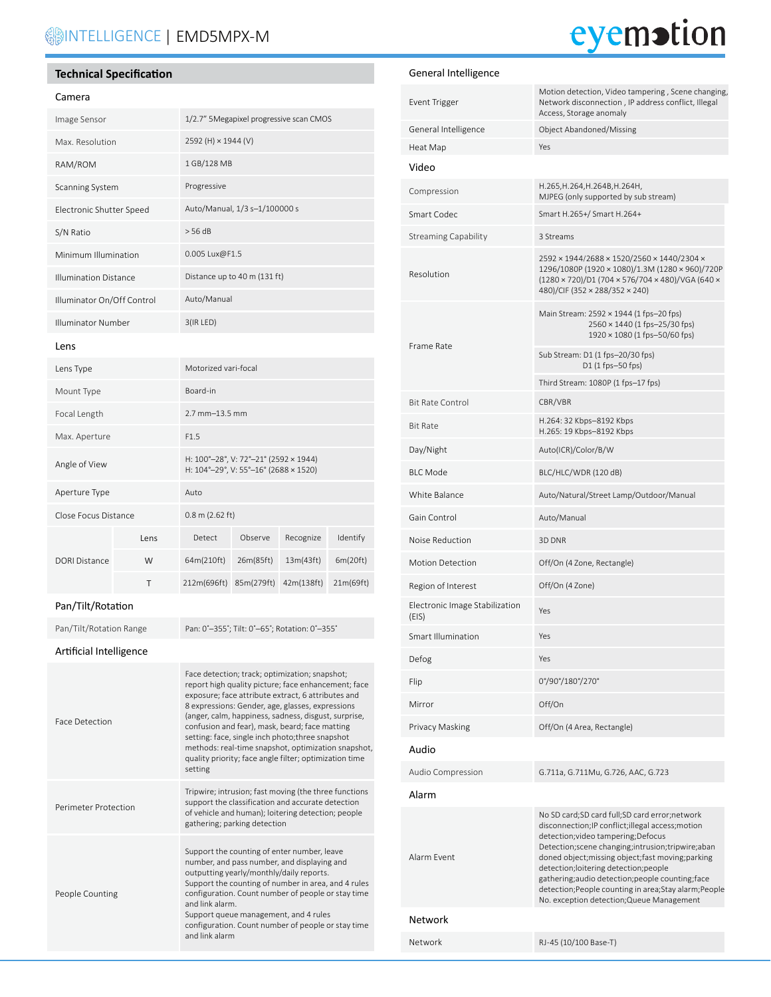### **SINTELLIGENCE | EMD5MPX-M**

# eyemotion

General Intelligence

#### **Technical Specification**

#### Camera

People Counting

| Image Sensor                 |      | 1/2.7" 5Megapixel progressive scan CMOS                                                                                                                                                                                                                                                                                                                                                                                                                                                                   |            |            |           |  |
|------------------------------|------|-----------------------------------------------------------------------------------------------------------------------------------------------------------------------------------------------------------------------------------------------------------------------------------------------------------------------------------------------------------------------------------------------------------------------------------------------------------------------------------------------------------|------------|------------|-----------|--|
| Max. Resolution              |      | 2592 (H) × 1944 (V)                                                                                                                                                                                                                                                                                                                                                                                                                                                                                       |            |            |           |  |
| RAM/ROM                      |      | 1 GB/128 MB                                                                                                                                                                                                                                                                                                                                                                                                                                                                                               |            |            |           |  |
| Scanning System              |      | Progressive                                                                                                                                                                                                                                                                                                                                                                                                                                                                                               |            |            |           |  |
| Electronic Shutter Speed     |      | Auto/Manual, 1/3 s-1/100000 s                                                                                                                                                                                                                                                                                                                                                                                                                                                                             |            |            |           |  |
| S/N Ratio                    |      | > 56 dB                                                                                                                                                                                                                                                                                                                                                                                                                                                                                                   |            |            |           |  |
| Minimum Illumination         |      | 0.005 Lux@F1.5                                                                                                                                                                                                                                                                                                                                                                                                                                                                                            |            |            |           |  |
| <b>Illumination Distance</b> |      | Distance up to 40 m (131 ft)                                                                                                                                                                                                                                                                                                                                                                                                                                                                              |            |            |           |  |
| Illuminator On/Off Control   |      | Auto/Manual                                                                                                                                                                                                                                                                                                                                                                                                                                                                                               |            |            |           |  |
| Illuminator Number           |      | 3(IR LED)                                                                                                                                                                                                                                                                                                                                                                                                                                                                                                 |            |            |           |  |
| Lens                         |      |                                                                                                                                                                                                                                                                                                                                                                                                                                                                                                           |            |            |           |  |
| Lens Type                    |      | Motorized vari-focal                                                                                                                                                                                                                                                                                                                                                                                                                                                                                      |            |            |           |  |
| Mount Type                   |      | Board-in                                                                                                                                                                                                                                                                                                                                                                                                                                                                                                  |            |            |           |  |
| Focal Length                 |      | 2.7 mm-13.5 mm                                                                                                                                                                                                                                                                                                                                                                                                                                                                                            |            |            |           |  |
| Max. Aperture                |      | F1.5                                                                                                                                                                                                                                                                                                                                                                                                                                                                                                      |            |            |           |  |
| Angle of View                |      | H: 100°-28°, V: 72°-21° (2592 × 1944)<br>H: 104°-29°, V: 55°-16° (2688 × 1520)                                                                                                                                                                                                                                                                                                                                                                                                                            |            |            |           |  |
| Aperture Type                |      | Auto                                                                                                                                                                                                                                                                                                                                                                                                                                                                                                      |            |            |           |  |
| Close Focus Distance         |      | 0.8 m (2.62 ft)                                                                                                                                                                                                                                                                                                                                                                                                                                                                                           |            |            |           |  |
|                              | Lens | Detect                                                                                                                                                                                                                                                                                                                                                                                                                                                                                                    | Observe    | Recognize  | Identify  |  |
| <b>DORI Distance</b>         | W    | 64m(210ft)                                                                                                                                                                                                                                                                                                                                                                                                                                                                                                | 26m(85ft)  | 13m(43ft)  | 6m(20ft)  |  |
|                              | т    | 212m(696ft)                                                                                                                                                                                                                                                                                                                                                                                                                                                                                               | 85m(279ft) | 42m(138ft) | 21m(69ft) |  |
| Pan/Tilt/Rotation            |      |                                                                                                                                                                                                                                                                                                                                                                                                                                                                                                           |            |            |           |  |
| Pan/Tilt/Rotation Range      |      | Pan: 0°-355°; Tilt: 0°-65°; Rotation: 0°-355°                                                                                                                                                                                                                                                                                                                                                                                                                                                             |            |            |           |  |
| Artificial Intelligence      |      |                                                                                                                                                                                                                                                                                                                                                                                                                                                                                                           |            |            |           |  |
| <b>Face Detection</b>        |      | Face detection; track; optimization; snapshot;<br>report high quality picture; face enhancement; face<br>exposure; face attribute extract, 6 attributes and<br>8 expressions: Gender, age, glasses, expressions<br>(anger, calm, happiness, sadness, disgust, surprise,<br>confusion and fear), mask, beard; face matting<br>setting: face, single inch photo; three snapshot<br>methods: real-time snapshot, optimization snapshot,<br>quality priority; face angle filter; optimization time<br>setting |            |            |           |  |
| Perimeter Protection         |      | Tripwire; intrusion; fast moving (the three functions<br>support the classification and accurate detection<br>of vehicle and human); loitering detection; people<br>gathering; parking detection                                                                                                                                                                                                                                                                                                          |            |            |           |  |
|                              |      | Support the counting of enter number, leave<br>number, and pass number, and displaying and<br>outputting yearly/monthly/daily reports.                                                                                                                                                                                                                                                                                                                                                                    |            |            |           |  |

Support the counting of number in area, and 4 rules configuration. Count number of people or stay time

Support queue management, and 4 rules configuration. Count number of people or stay time

and link alarm.

and link alarm

| Event Trigger                           | Motion detection, Video tampering, Scene changing,<br>Network disconnection, IP address conflict, Illegal<br>Access, Storage anomaly                                                                                                                                                                                                                                                                                                                      |  |  |  |
|-----------------------------------------|-----------------------------------------------------------------------------------------------------------------------------------------------------------------------------------------------------------------------------------------------------------------------------------------------------------------------------------------------------------------------------------------------------------------------------------------------------------|--|--|--|
| General Intelligence                    | Object Abandoned/Missing                                                                                                                                                                                                                                                                                                                                                                                                                                  |  |  |  |
| Heat Map                                | Yes                                                                                                                                                                                                                                                                                                                                                                                                                                                       |  |  |  |
| Video                                   |                                                                                                                                                                                                                                                                                                                                                                                                                                                           |  |  |  |
| Compression                             | H.265, H.264, H.264B, H.264H,<br>MJPEG (only supported by sub stream)                                                                                                                                                                                                                                                                                                                                                                                     |  |  |  |
| Smart Codec                             | Smart H.265+/ Smart H.264+                                                                                                                                                                                                                                                                                                                                                                                                                                |  |  |  |
| Streaming Capability                    | 3 Streams                                                                                                                                                                                                                                                                                                                                                                                                                                                 |  |  |  |
| Resolution                              | 2592 × 1944/2688 × 1520/2560 × 1440/2304 ×<br>1296/1080P (1920 × 1080)/1.3M (1280 × 960)/720P<br>(1280 × 720)/D1 (704 × 576/704 × 480)/VGA (640 ×<br>480)/CIF (352 × 288/352 × 240)                                                                                                                                                                                                                                                                       |  |  |  |
| Frame Rate                              | Main Stream: 2592 × 1944 (1 fps-20 fps)<br>2560 × 1440 (1 fps-25/30 fps)<br>1920 × 1080 (1 fps-50/60 fps)                                                                                                                                                                                                                                                                                                                                                 |  |  |  |
|                                         | Sub Stream: D1 (1 fps-20/30 fps)<br>D1 (1 fps-50 fps)                                                                                                                                                                                                                                                                                                                                                                                                     |  |  |  |
|                                         | Third Stream: 1080P (1 fps-17 fps)                                                                                                                                                                                                                                                                                                                                                                                                                        |  |  |  |
| <b>Bit Rate Control</b>                 | CBR/VBR                                                                                                                                                                                                                                                                                                                                                                                                                                                   |  |  |  |
| Bit Rate                                | H.264: 32 Kbps-8192 Kbps<br>H.265: 19 Kbps-8192 Kbps                                                                                                                                                                                                                                                                                                                                                                                                      |  |  |  |
| Day/Night                               | Auto(ICR)/Color/B/W                                                                                                                                                                                                                                                                                                                                                                                                                                       |  |  |  |
| <b>BLC Mode</b>                         | BLC/HLC/WDR (120 dB)                                                                                                                                                                                                                                                                                                                                                                                                                                      |  |  |  |
| White Balance                           | Auto/Natural/Street Lamp/Outdoor/Manual                                                                                                                                                                                                                                                                                                                                                                                                                   |  |  |  |
| Gain Control                            | Auto/Manual                                                                                                                                                                                                                                                                                                                                                                                                                                               |  |  |  |
| Noise Reduction                         | 3D DNR                                                                                                                                                                                                                                                                                                                                                                                                                                                    |  |  |  |
| <b>Motion Detection</b>                 | Off/On (4 Zone, Rectangle)                                                                                                                                                                                                                                                                                                                                                                                                                                |  |  |  |
| Region of Interest                      | Off/On (4 Zone)                                                                                                                                                                                                                                                                                                                                                                                                                                           |  |  |  |
| Electronic Image Stabilization<br>(EIS) | Yes                                                                                                                                                                                                                                                                                                                                                                                                                                                       |  |  |  |
| Smart Illumination                      | Yes                                                                                                                                                                                                                                                                                                                                                                                                                                                       |  |  |  |
| Defog                                   | Yes                                                                                                                                                                                                                                                                                                                                                                                                                                                       |  |  |  |
| Flip                                    | 0°/90°/180°/270°                                                                                                                                                                                                                                                                                                                                                                                                                                          |  |  |  |
| Mirror                                  | Off/On                                                                                                                                                                                                                                                                                                                                                                                                                                                    |  |  |  |
| Privacy Masking                         | Off/On (4 Area, Rectangle)                                                                                                                                                                                                                                                                                                                                                                                                                                |  |  |  |
| Audio                                   |                                                                                                                                                                                                                                                                                                                                                                                                                                                           |  |  |  |
| Audio Compression                       | G.711a, G.711Mu, G.726, AAC, G.723                                                                                                                                                                                                                                                                                                                                                                                                                        |  |  |  |
| Alarm                                   |                                                                                                                                                                                                                                                                                                                                                                                                                                                           |  |  |  |
| Alarm Event                             | No SD card;SD card full;SD card error;network<br>disconnection; IP conflict; illegal access; motion<br>detection; video tampering; Defocus<br>Detection; scene changing; intrusion; tripwire; aban<br>doned object; missing object; fast moving; parking<br>detection;loitering detection;people<br>gathering;audio detection;people counting;face<br>detection; People counting in area; Stay alarm; People<br>No. exception detection; Queue Management |  |  |  |
| Network                                 |                                                                                                                                                                                                                                                                                                                                                                                                                                                           |  |  |  |
| Network                                 | RJ-45 (10/100 Base-T)                                                                                                                                                                                                                                                                                                                                                                                                                                     |  |  |  |